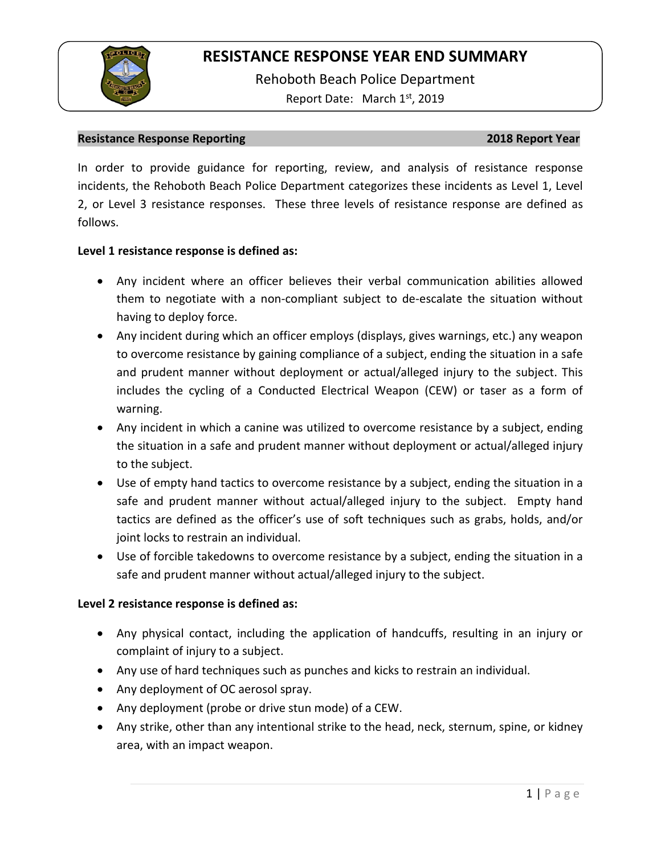

Rehoboth Beach Police Department Report Date: March 1<sup>st</sup>, 2019

### **Resistance Response Reporting 2018 Report Year**

In order to provide guidance for reporting, review, and analysis of resistance response incidents, the Rehoboth Beach Police Department categorizes these incidents as Level 1, Level 2, or Level 3 resistance responses. These three levels of resistance response are defined as follows.

### **Level 1 resistance response is defined as:**

- Any incident where an officer believes their verbal communication abilities allowed them to negotiate with a non-compliant subject to de-escalate the situation without having to deploy force.
- Any incident during which an officer employs (displays, gives warnings, etc.) any weapon to overcome resistance by gaining compliance of a subject, ending the situation in a safe and prudent manner without deployment or actual/alleged injury to the subject. This includes the cycling of a Conducted Electrical Weapon (CEW) or taser as a form of warning.
- Any incident in which a canine was utilized to overcome resistance by a subject, ending the situation in a safe and prudent manner without deployment or actual/alleged injury to the subject.
- Use of empty hand tactics to overcome resistance by a subject, ending the situation in a safe and prudent manner without actual/alleged injury to the subject. Empty hand tactics are defined as the officer's use of soft techniques such as grabs, holds, and/or joint locks to restrain an individual.
- Use of forcible takedowns to overcome resistance by a subject, ending the situation in a safe and prudent manner without actual/alleged injury to the subject.

### **Level 2 resistance response is defined as:**

- Any physical contact, including the application of handcuffs, resulting in an injury or complaint of injury to a subject.
- Any use of hard techniques such as punches and kicks to restrain an individual.
- Any deployment of OC aerosol spray.
- Any deployment (probe or drive stun mode) of a CEW.
- Any strike, other than any intentional strike to the head, neck, sternum, spine, or kidney area, with an impact weapon.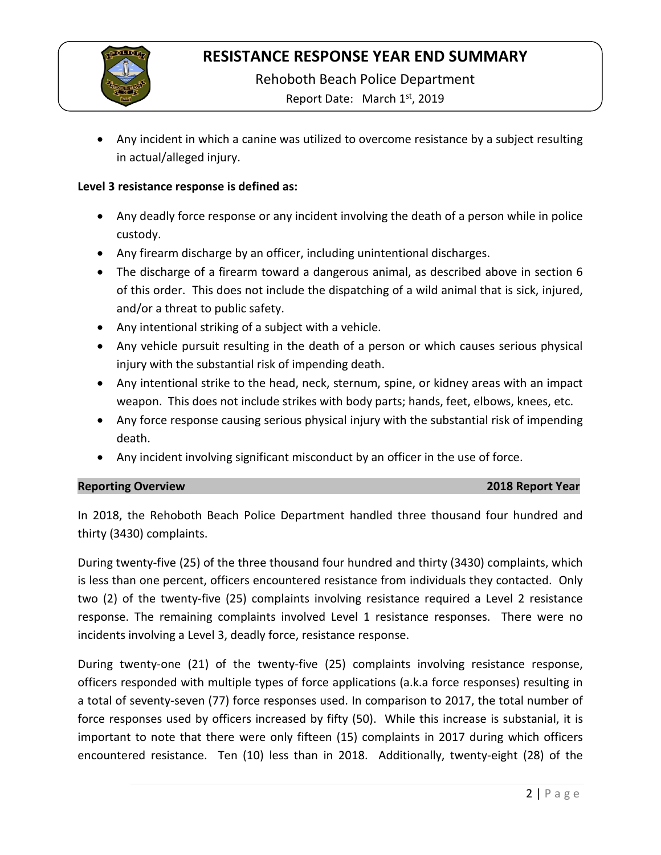

Rehoboth Beach Police Department

Report Date: March 1st, 2019

• Any incident in which a canine was utilized to overcome resistance by a subject resulting in actual/alleged injury.

## **Level 3 resistance response is defined as:**

- Any deadly force response or any incident involving the death of a person while in police custody.
- Any firearm discharge by an officer, including unintentional discharges.
- The discharge of a firearm toward a dangerous animal, as described above in section 6 of this order. This does not include the dispatching of a wild animal that is sick, injured, and/or a threat to public safety.
- Any intentional striking of a subject with a vehicle.
- Any vehicle pursuit resulting in the death of a person or which causes serious physical injury with the substantial risk of impending death.
- Any intentional strike to the head, neck, sternum, spine, or kidney areas with an impact weapon. This does not include strikes with body parts; hands, feet, elbows, knees, etc.
- Any force response causing serious physical injury with the substantial risk of impending death.
- Any incident involving significant misconduct by an officer in the use of force.

### **Reporting Overview 2018 Report Year**

In 2018, the Rehoboth Beach Police Department handled three thousand four hundred and thirty (3430) complaints.

During twenty-five (25) of the three thousand four hundred and thirty (3430) complaints, which is less than one percent, officers encountered resistance from individuals they contacted. Only two (2) of the twenty-five (25) complaints involving resistance required a Level 2 resistance response. The remaining complaints involved Level 1 resistance responses. There were no incidents involving a Level 3, deadly force, resistance response.

During twenty-one (21) of the twenty-five (25) complaints involving resistance response, officers responded with multiple types of force applications (a.k.a force responses) resulting in a total of seventy-seven (77) force responses used. In comparison to 2017, the total number of force responses used by officers increased by fifty (50). While this increase is substanial, it is important to note that there were only fifteen (15) complaints in 2017 during which officers encountered resistance. Ten (10) less than in 2018. Additionally, twenty-eight (28) of the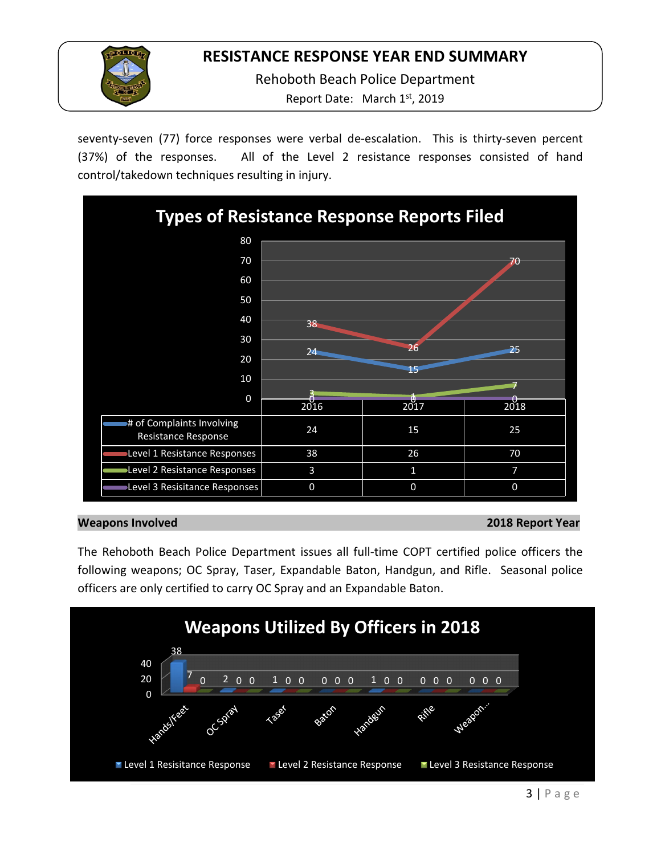

Rehoboth Beach Police Department

Report Date: March 1<sup>st</sup>, 2019

seventy-seven (77) force responses were verbal de-escalation. This is thirty-seven percent (37%) of the responses. All of the Level 2 resistance responses consisted of hand control/takedown techniques resulting in injury.



### **Weapons Involved 2018 Report Year**

The Rehoboth Beach Police Department issues all full-time COPT certified police officers the following weapons; OC Spray, Taser, Expandable Baton, Handgun, and Rifle. Seasonal police officers are only certified to carry OC Spray and an Expandable Baton.

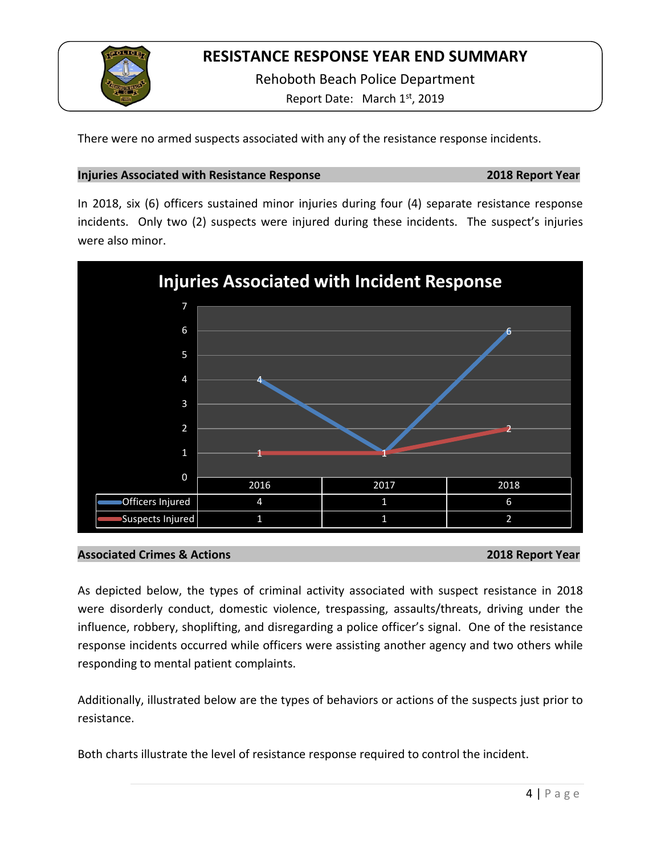

Rehoboth Beach Police Department

Report Date: March 1st, 2019

There were no armed suspects associated with any of the resistance response incidents.

### **Injuries Associated with Resistance Response 2018 Report Year**

In 2018, six (6) officers sustained minor injuries during four (4) separate resistance response incidents. Only two (2) suspects were injured during these incidents. The suspect's injuries were also minor.



## **Associated Crimes & Actions 2018 Report Year**

As depicted below, the types of criminal activity associated with suspect resistance in 2018 were disorderly conduct, domestic violence, trespassing, assaults/threats, driving under the influence, robbery, shoplifting, and disregarding a police officer's signal. One of the resistance response incidents occurred while officers were assisting another agency and two others while responding to mental patient complaints.

Additionally, illustrated below are the types of behaviors or actions of the suspects just prior to resistance.

Both charts illustrate the level of resistance response required to control the incident.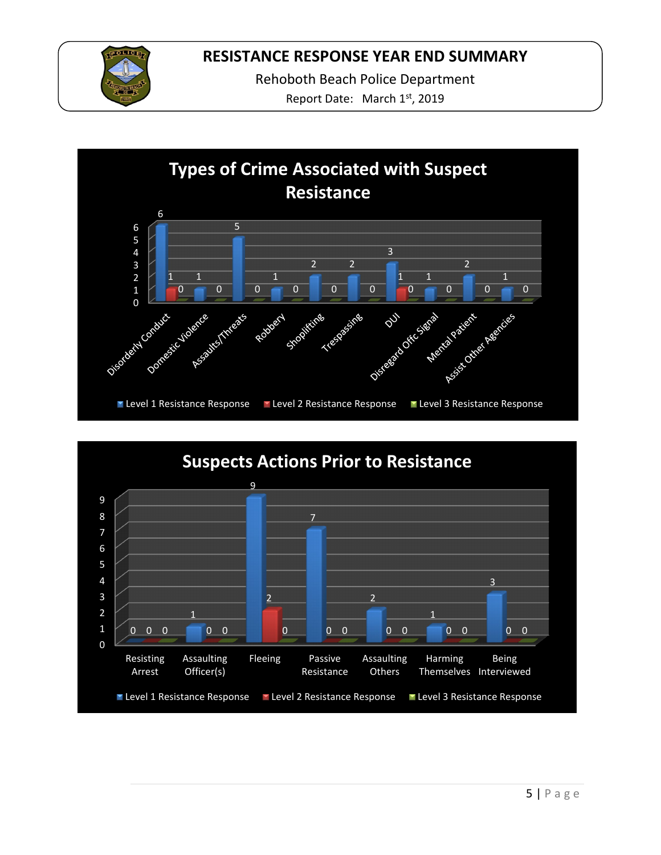

Rehoboth Beach Police Department

Report Date: March 1st, 2019



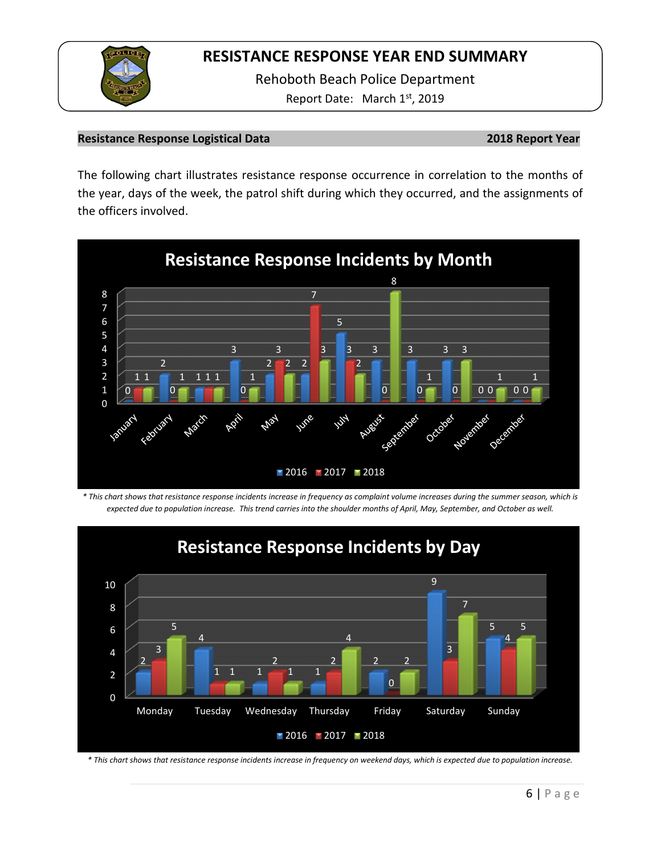

Rehoboth Beach Police Department Report Date: March 1st, 2019

### **Resistance Response Logistical Data 2018 Report Year**

The following chart illustrates resistance response occurrence in correlation to the months of the year, days of the week, the patrol shift during which they occurred, and the assignments of the officers involved.



*\* This chart shows that resistance response incidents increase in frequency as complaint volume increases during the summer season, which is expected due to population increase. This trend carries into the shoulder months of April, May, September, and October as well.*



*\* This chart shows that resistance response incidents increase in frequency on weekend days, which is expected due to population increase.*